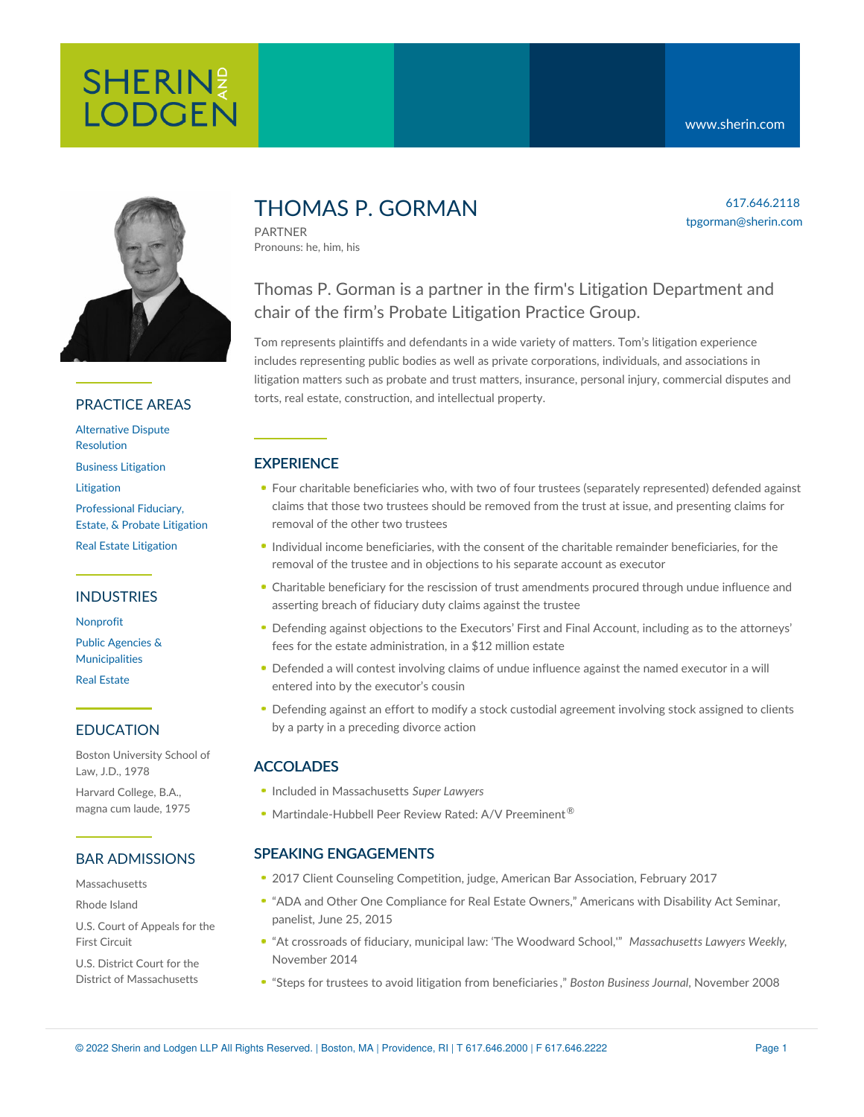

# PRACTICE AREAS

[Alternative](https://www.sherin.com/practice-areas/litigation/alternative-dispute-resolution/) Dispute Resolution

Business [Litigation](https://www.sherin.com/practice-areas/litigation/business-litigation/)

[Litigation](https://www.sherin.com/practice-areas/litigation/)

[Professional](https://www.sherin.com/practice-areas/litigation/professional-fiduciary-estate-and-probate-litigation/) Fiduciary, Estate, & Probate Litigation

# Real Estate [Litigation](https://www.sherin.com/practice-areas/litigation/real-estate-litigation/)

### INDUSTRIES

[Nonprofit](https://www.sherin.com/industries/nonprofit/) Public Agencies & [Municipalities](https://www.sherin.com/industries/public-agencies-and-municipalities/) Real [Estate](https://www.sherin.com/industries/real-estate/)

### EDUCATION

Boston University School of Law, J.D., 1978

Harvard College, B.A., magna cum laude, 1975

### BAR ADMISSIONS

Massachusetts

Rhode Island

U.S. Court of Appeals for the First Circuit

U.S. District Court for the District of Massachusetts

# THOMAS P. GORMAN

PARTNER Pronouns: he, him, his

# Thomas P. Gorman is a partner in the firm's Litigation Department and chair of the firm's Probate Litigation Practice Group.

Tom represents plaintiffs and defendants in a wide variety of matters. Tom's litigation experience includes representing public bodies as well as private corporations, individuals, and associations in litigation matters such as probate and trust matters, insurance, personal injury, commercial disputes and torts, real estate, construction, and intellectual property.

# **EXPERIENCE**

- Four charitable beneficiaries who, with two of four trustees (separately represented) defended against claims that those two trustees should be removed from the trust at issue, and presenting claims for removal of the other two trustees
- Individual income beneficiaries, with the consent of the charitable remainder beneficiaries, for the removal of the trustee and in objections to his separate account as executor
- Charitable beneficiary for the rescission of trust amendments procured through undue influence and asserting breach of fiduciary duty claims against the trustee
- Defending against objections to the Executors' First and Final Account, including as to the attorneys' fees for the estate administration, in a \$12 million estate
- Defended a will contest involving claims of undue influence against the named executor in a will entered into by the executor's cousin
- Defending against an effort to modify a stock custodial agreement involving stock assigned to clients by a party in a preceding divorce action

# ACCOLADES

- Included in Massachusetts *Super Lawyers*
- Martindale-Hubbell Peer Review Rated: A/V Preeminent<sup>®</sup>

# SPEAKING ENGAGEMENTS

- 2017 Client Counseling Competition, judge, American Bar Association, February 2017
- "ADA and Other One Compliance for Real Estate Owners," Americans with Disability Act Seminar, panelist, June 25, 2015
- "At crossroads of fiduciary, municipal law: 'The Woodward School,'" *Massachusetts Lawyers Weekly*, November 2014
- "Steps for trustees to avoid litigation from [beneficiaries](http://www.bizjournals.com/boston/stories/2008/11/10/focus10.html?page=all) ," *Boston Business Journal*, November 2008

617.646.2118 tpgorman@sherin.com